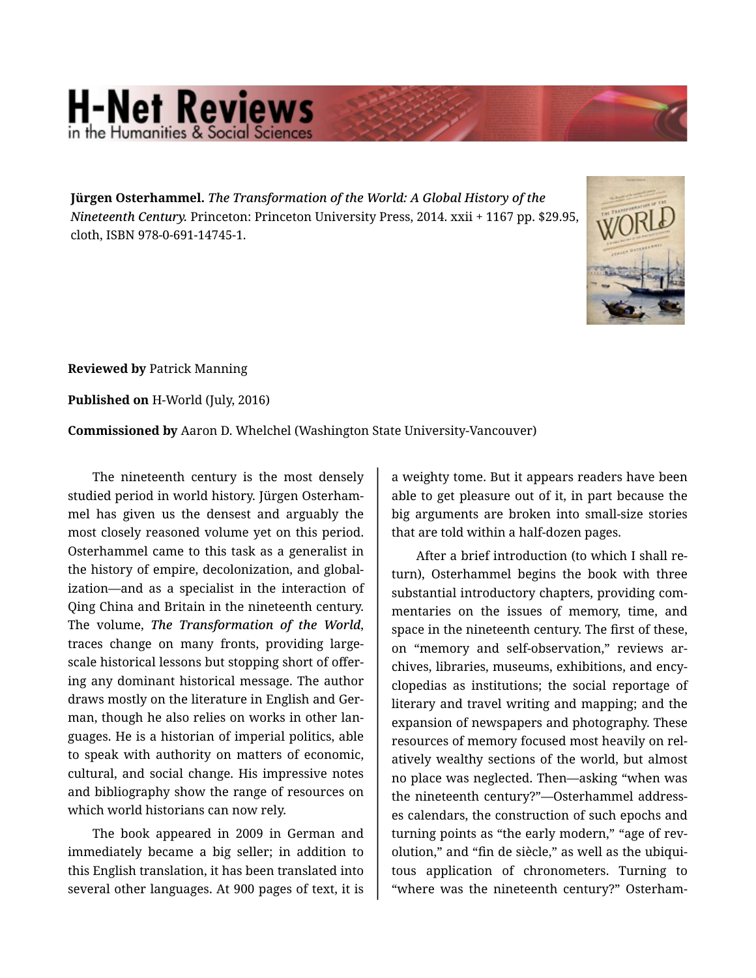## **H-Net Reviews** he Humanities & Social S

**Jürgen Osterhammel.** *The Transformation of the World: A Global History of the Nineteenth Century.* Princeton: Princeton University Press, 2014. xxii + 1167 pp. \$29.95, cloth, ISBN 978-0-691-14745-1.



**Reviewed by** Patrick Manning

**Published on** H-World (July, 2016)

**Commissioned by** Aaron D. Whelchel (Washington State University-Vancouver)

The nineteenth century is the most densely studied period in world history. Jürgen Osterham‐ mel has given us the densest and arguably the most closely reasoned volume yet on this period. Osterhammel came to this task as a generalist in the history of empire, decolonization, and global‐ ization—and as a specialist in the interaction of Qing China and Britain in the nineteenth century. The volume, *The Transformation of the World*, traces change on many fronts, providing largescale historical lessons but stopping short of offer‐ ing any dominant historical message. The author draws mostly on the literature in English and Ger‐ man, though he also relies on works in other lan‐ guages. He is a historian of imperial politics, able to speak with authority on matters of economic, cultural, and social change. His impressive notes and bibliography show the range of resources on which world historians can now rely.

The book appeared in 2009 in German and immediately became a big seller; in addition to this English translation, it has been translated into several other languages. At 900 pages of text, it is

a weighty tome. But it appears readers have been able to get pleasure out of it, in part because the big arguments are broken into small-size stories that are told within a half-dozen pages.

After a brief introduction (to which I shall re‐ turn), Osterhammel begins the book with three substantial introductory chapters, providing com‐ mentaries on the issues of memory, time, and space in the nineteenth century. The first of these, on "memory and self-observation," reviews ar‐ chives, libraries, museums, exhibitions, and ency‐ clopedias as institutions; the social reportage of literary and travel writing and mapping; and the expansion of newspapers and photography. These resources of memory focused most heavily on rel‐ atively wealthy sections of the world, but almost no place was neglected. Then—asking "when was the nineteenth century?"—Osterhammel address‐ es calendars, the construction of such epochs and turning points as "the early modern," "age of revolution," and "fin de siècle," as well as the ubiqui‐ tous application of chronometers. Turning to "where was the nineteenth century?" Osterham‐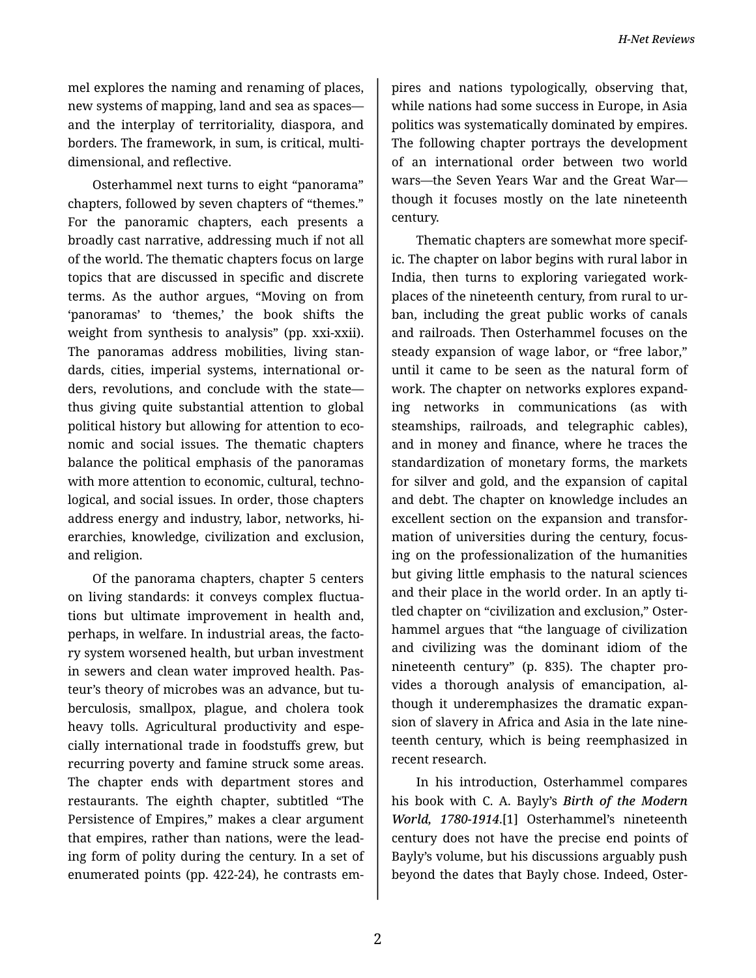*H-Net Reviews*

mel explores the naming and renaming of places, new systems of mapping, land and sea as spaces and the interplay of territoriality, diaspora, and borders. The framework, in sum, is critical, multi‐ dimensional, and reflective.

Osterhammel next turns to eight "panorama" chapters, followed by seven chapters of "themes." For the panoramic chapters, each presents a broadly cast narrative, addressing much if not all of the world. The thematic chapters focus on large topics that are discussed in specific and discrete terms. As the author argues, "Moving on from 'panoramas' to 'themes,' the book shifts the weight from synthesis to analysis" (pp. xxi-xxii). The panoramas address mobilities, living stan‐ dards, cities, imperial systems, international or‐ ders, revolutions, and conclude with the state thus giving quite substantial attention to global political history but allowing for attention to eco‐ nomic and social issues. The thematic chapters balance the political emphasis of the panoramas with more attention to economic, cultural, technological, and social issues. In order, those chapters address energy and industry, labor, networks, hi‐ erarchies, knowledge, civilization and exclusion, and religion.

Of the panorama chapters, chapter 5 centers on living standards: it conveys complex fluctua‐ tions but ultimate improvement in health and, perhaps, in welfare. In industrial areas, the facto‐ ry system worsened health, but urban investment in sewers and clean water improved health. Pas‐ teur's theory of microbes was an advance, but tu‐ berculosis, smallpox, plague, and cholera took heavy tolls. Agricultural productivity and espe‐ cially international trade in foodstuffs grew, but recurring poverty and famine struck some areas. The chapter ends with department stores and restaurants. The eighth chapter, subtitled "The Persistence of Empires," makes a clear argument that empires, rather than nations, were the lead‐ ing form of polity during the century. In a set of enumerated points (pp. 422-24), he contrasts em‐

pires and nations typologically, observing that, while nations had some success in Europe, in Asia politics was systematically dominated by empires. The following chapter portrays the development of an international order between two world wars—the Seven Years War and the Great War though it focuses mostly on the late nineteenth century.

Thematic chapters are somewhat more specif‐ ic. The chapter on labor begins with rural labor in India, then turns to exploring variegated work‐ places of the nineteenth century, from rural to ur‐ ban, including the great public works of canals and railroads. Then Osterhammel focuses on the steady expansion of wage labor, or "free labor," until it came to be seen as the natural form of work. The chapter on networks explores expand‐ ing networks in communications (as with steamships, railroads, and telegraphic cables), and in money and finance, where he traces the standardization of monetary forms, the markets for silver and gold, and the expansion of capital and debt. The chapter on knowledge includes an excellent section on the expansion and transfor‐ mation of universities during the century, focus‐ ing on the professionalization of the humanities but giving little emphasis to the natural sciences and their place in the world order. In an aptly ti‐ tled chapter on "civilization and exclusion," Oster‐ hammel argues that "the language of civilization and civilizing was the dominant idiom of the nineteenth century" (p. 835). The chapter pro‐ vides a thorough analysis of emancipation, al‐ though it underemphasizes the dramatic expan‐ sion of slavery in Africa and Asia in the late nine‐ teenth century, which is being reemphasized in recent research.

In his introduction, Osterhammel compares his book with C. A. Bayly's *Birth of the Modern World, 1780-1914*.[1] Osterhammel's nineteenth century does not have the precise end points of Bayly's volume, but his discussions arguably push beyond the dates that Bayly chose. Indeed, Oster‐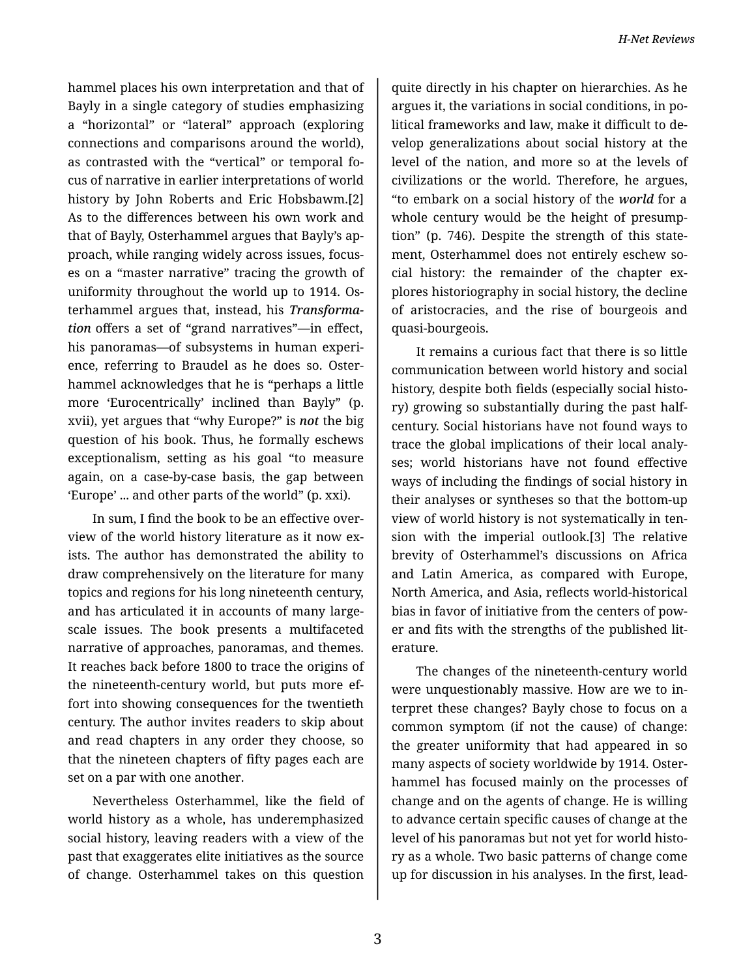hammel places his own interpretation and that of Bayly in a single category of studies emphasizing a "horizontal" or "lateral" approach (exploring connections and comparisons around the world), as contrasted with the "vertical" or temporal fo‐ cus of narrative in earlier interpretations of world history by John Roberts and Eric Hobsbawm.[2] As to the differences between his own work and that of Bayly, Osterhammel argues that Bayly's ap‐ proach, while ranging widely across issues, focus‐ es on a "master narrative" tracing the growth of uniformity throughout the world up to 1914. Os‐ terhammel argues that, instead, his *Transforma‐ tion* offers a set of "grand narratives"—in effect, his panoramas—of subsystems in human experi‐ ence, referring to Braudel as he does so. Oster‐ hammel acknowledges that he is "perhaps a little more 'Eurocentrically' inclined than Bayly" (p. xvii), yet argues that "why Europe?" is *not* the big question of his book. Thus, he formally eschews exceptionalism, setting as his goal "to measure again, on a case-by-case basis, the gap between 'Europe' ... and other parts of the world" (p. xxi).

In sum, I find the book to be an effective over‐ view of the world history literature as it now exists. The author has demonstrated the ability to draw comprehensively on the literature for many topics and regions for his long nineteenth century, and has articulated it in accounts of many largescale issues. The book presents a multifaceted narrative of approaches, panoramas, and themes. It reaches back before 1800 to trace the origins of the nineteenth-century world, but puts more ef‐ fort into showing consequences for the twentieth century. The author invites readers to skip about and read chapters in any order they choose, so that the nineteen chapters of fifty pages each are set on a par with one another.

Nevertheless Osterhammel, like the field of world history as a whole, has underemphasized social history, leaving readers with a view of the past that exaggerates elite initiatives as the source of change. Osterhammel takes on this question

quite directly in his chapter on hierarchies. As he argues it, the variations in social conditions, in po‐ litical frameworks and law, make it difficult to de‐ velop generalizations about social history at the level of the nation, and more so at the levels of civilizations or the world. Therefore, he argues, "to embark on a social history of the *world* for a whole century would be the height of presumption" (p. 746). Despite the strength of this state‐ ment, Osterhammel does not entirely eschew social history: the remainder of the chapter explores historiography in social history, the decline of aristocracies, and the rise of bourgeois and quasi-bourgeois.

It remains a curious fact that there is so little communication between world history and social history, despite both fields (especially social histo‐ ry) growing so substantially during the past halfcentury. Social historians have not found ways to trace the global implications of their local analy‐ ses; world historians have not found effective ways of including the findings of social history in their analyses or syntheses so that the bottom-up view of world history is not systematically in ten‐ sion with the imperial outlook.[3] The relative brevity of Osterhammel's discussions on Africa and Latin America, as compared with Europe, North America, and Asia, reflects world-historical bias in favor of initiative from the centers of pow‐ er and fits with the strengths of the published lit‐ erature.

The changes of the nineteenth-century world were unquestionably massive. How are we to in‐ terpret these changes? Bayly chose to focus on a common symptom (if not the cause) of change: the greater uniformity that had appeared in so many aspects of society worldwide by 1914. Oster‐ hammel has focused mainly on the processes of change and on the agents of change. He is willing to advance certain specific causes of change at the level of his panoramas but not yet for world histo‐ ry as a whole. Two basic patterns of change come up for discussion in his analyses. In the first, lead‐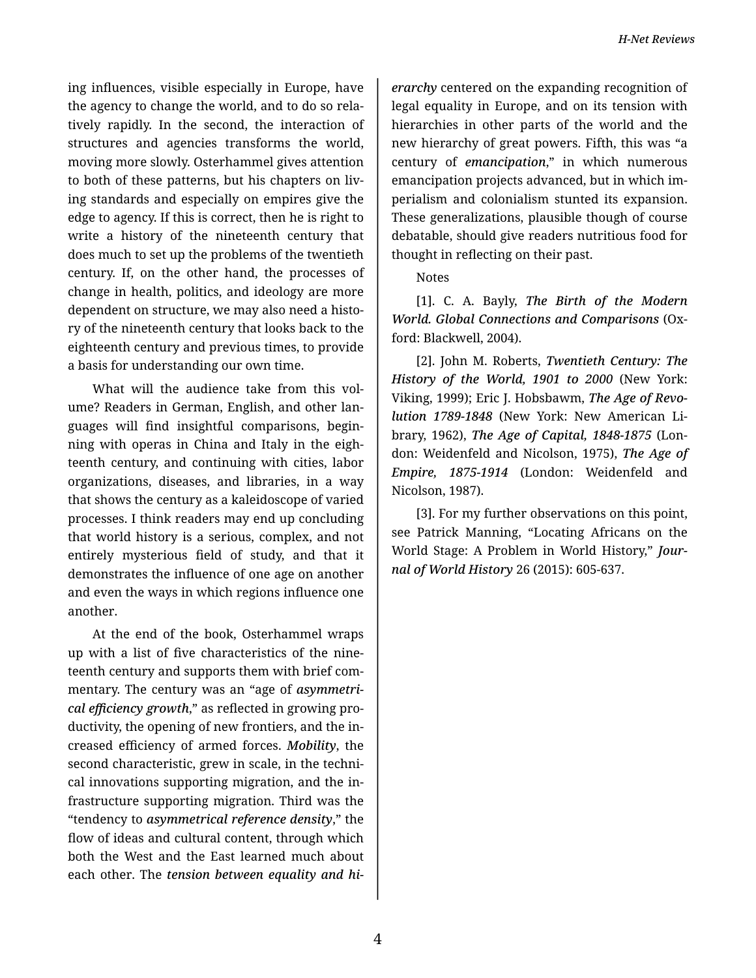ing influences, visible especially in Europe, have the agency to change the world, and to do so rela‐ tively rapidly. In the second, the interaction of structures and agencies transforms the world, moving more slowly. Osterhammel gives attention to both of these patterns, but his chapters on liv‐ ing standards and especially on empires give the edge to agency. If this is correct, then he is right to write a history of the nineteenth century that does much to set up the problems of the twentieth century. If, on the other hand, the processes of change in health, politics, and ideology are more dependent on structure, we may also need a histo‐ ry of the nineteenth century that looks back to the eighteenth century and previous times, to provide a basis for understanding our own time.

What will the audience take from this volume? Readers in German, English, and other lan‐ guages will find insightful comparisons, begin‐ ning with operas in China and Italy in the eigh‐ teenth century, and continuing with cities, labor organizations, diseases, and libraries, in a way that shows the century as a kaleidoscope of varied processes. I think readers may end up concluding that world history is a serious, complex, and not entirely mysterious field of study, and that it demonstrates the influence of one age on another and even the ways in which regions influence one another.

At the end of the book, Osterhammel wraps up with a list of five characteristics of the nine‐ teenth century and supports them with brief com‐ mentary. The century was an "age of *asymmetri‐ cal efficiency growth*," as reflected in growing pro‐ ductivity, the opening of new frontiers, and the in‐ creased efficiency of armed forces. *Mobility*, the second characteristic, grew in scale, in the technical innovations supporting migration, and the in‐ frastructure supporting migration. Third was the "tendency to *asymmetrical reference density*," the flow of ideas and cultural content, through which both the West and the East learned much about each other. The *tension between equality and hi‐*

*erarchy* centered on the expanding recognition of legal equality in Europe, and on its tension with hierarchies in other parts of the world and the new hierarchy of great powers. Fifth, this was "a century of *emancipation*," in which numerous emancipation projects advanced, but in which im‐ perialism and colonialism stunted its expansion. These generalizations, plausible though of course debatable, should give readers nutritious food for thought in reflecting on their past.

## Notes

[1]. C. A. Bayly, *The Birth of the Modern World. Global Connections and Comparisons* (Ox‐ ford: Blackwell, 2004).

[2]. John M. Roberts, *Twentieth Century: The History of the World, 1901 to 2000* (New York: Viking, 1999); Eric J. Hobsbawm, *The Age of Revo‐ lution 1789-1848* (New York: New American Li‐ brary, 1962), *The Age of Capital, 1848-1875* (Lon‐ don: Weidenfeld and Nicolson, 1975), *The Age of Empire, 1875-1914* (London: Weidenfeld and Nicolson, 1987).

[3]. For my further observations on this point, see Patrick Manning, "Locating Africans on the World Stage: A Problem in World History," *Jour‐ nal of World History* 26 (2015): 605-637.